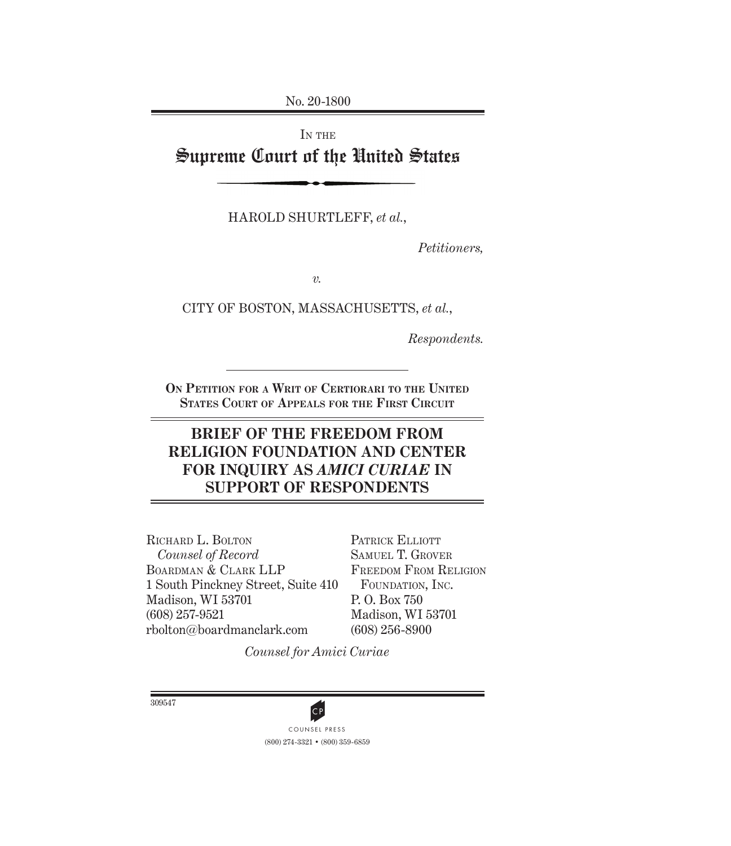No. 20-1800

# IN THE Supreme Court of the United States

HAROLD SHURTLEFF, *et al.*,

*Petitioners,*

*v.*

CITY OF BOSTON, MASSACHUSETTS, *et al.*,

*Respondents.*

**On Petition for a Writ of Certiorari to the United States Court of Appeals for the First Circuit**

## **BRIEF OF THE FREEDOM FROM RELIGION FOUNDATION AND CENTER FOR INQUIRY AS** *AMICI CURIAE* **IN SUPPORT OF RESPONDENTS**

RICHARD L. BOLTON *Counsel of Record* Boardman & Clark LLP 1 South Pinckney Street, Suite 410 Madison, WI 53701 (608) 257-9521 rbolton@boardmanclark.com

PATRICK ELLIOTT Samuel T. Grover Freedom From Religion FOUNDATION, INC. P. O. Box 750 Madison, WI 53701 (608) 256-8900

*Counsel for Amici Curiae*

309547

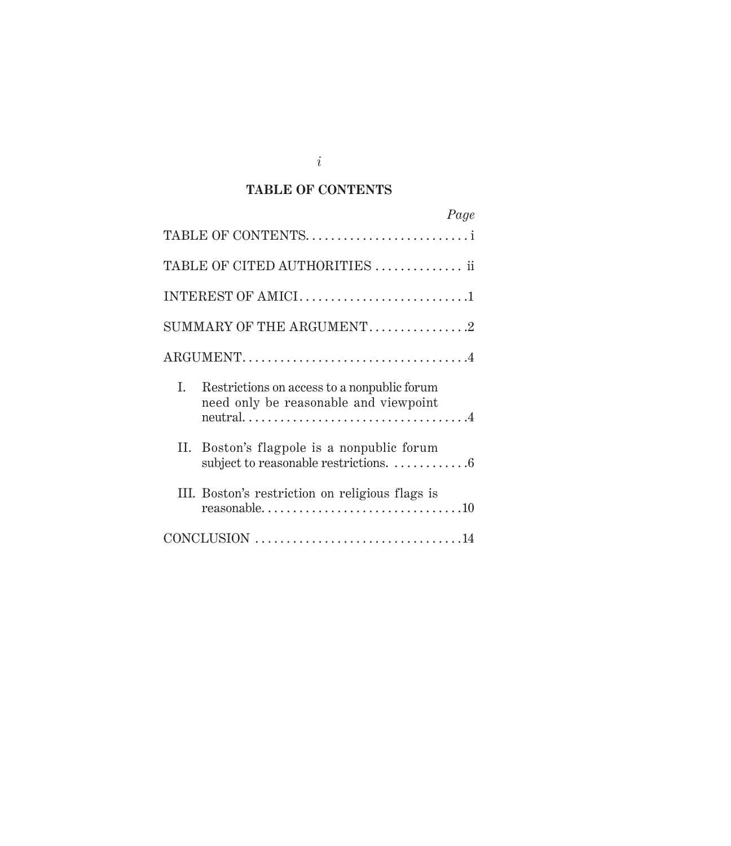### **TABLE OF CONTENTS**

| Page                                                                                       |
|--------------------------------------------------------------------------------------------|
| TABLE OF CONTENTSi                                                                         |
| TABLE OF CITED AUTHORITIES ii                                                              |
| INTEREST OF AMICI1                                                                         |
| SUMMARY OF THE ARGUMENT2                                                                   |
|                                                                                            |
| I.<br>Restrictions on access to a nonpublic forum<br>need only be reasonable and viewpoint |
| Boston's flagpole is a nonpublic forum<br>П.                                               |
| III. Boston's restriction on religious flags is                                            |
|                                                                                            |

*i*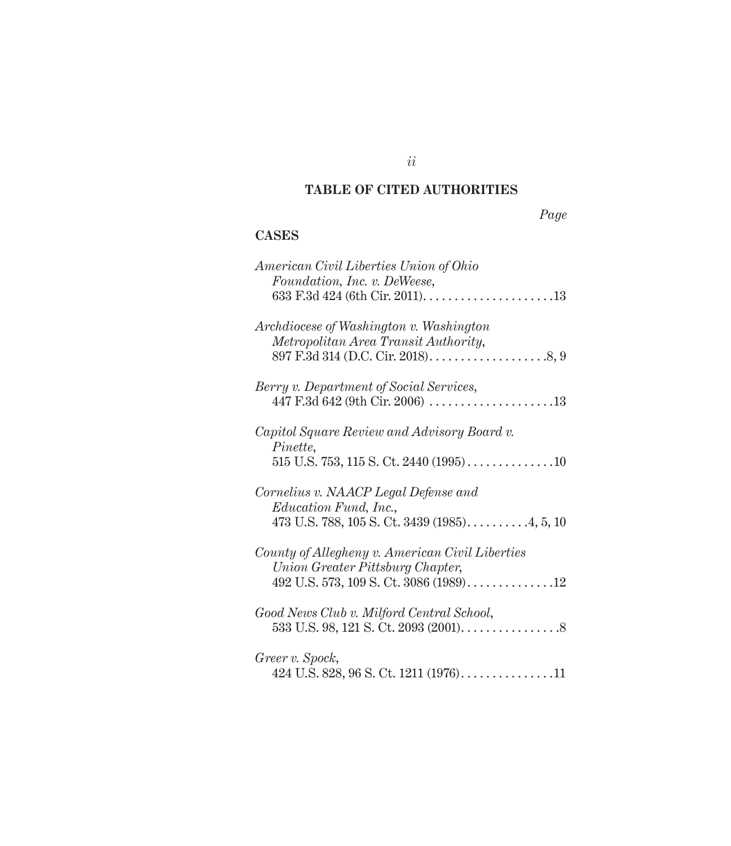### **TABLE OF CITED AUTHORITIES**

*Page*

### **Cases**

| American Civil Liberties Union of Ohio            |
|---------------------------------------------------|
| Foundation, Inc. v. DeWeese,                      |
|                                                   |
| Archdiocese of Washington v. Washington           |
| Metropolitan Area Transit Authority,              |
|                                                   |
| Berry v. Department of Social Services,           |
|                                                   |
| Capitol Square Review and Advisory Board v.       |
| Pinette,                                          |
|                                                   |
| Cornelius v. NAACP Legal Defense and              |
| <i>Education Fund, Inc.,</i>                      |
| 473 U.S. 788, 105 S. Ct. 3439 (1985)4, 5, 10      |
| County of Allegheny v. American Civil Liberties   |
| Union Greater Pittsburg Chapter,                  |
|                                                   |
| Good News Club v. Milford Central School,         |
|                                                   |
| Greer v. Spock,                                   |
| 424 U.S. 828, 96 S. Ct. 1211 (1976). $\dots$ . 11 |
|                                                   |

*ii*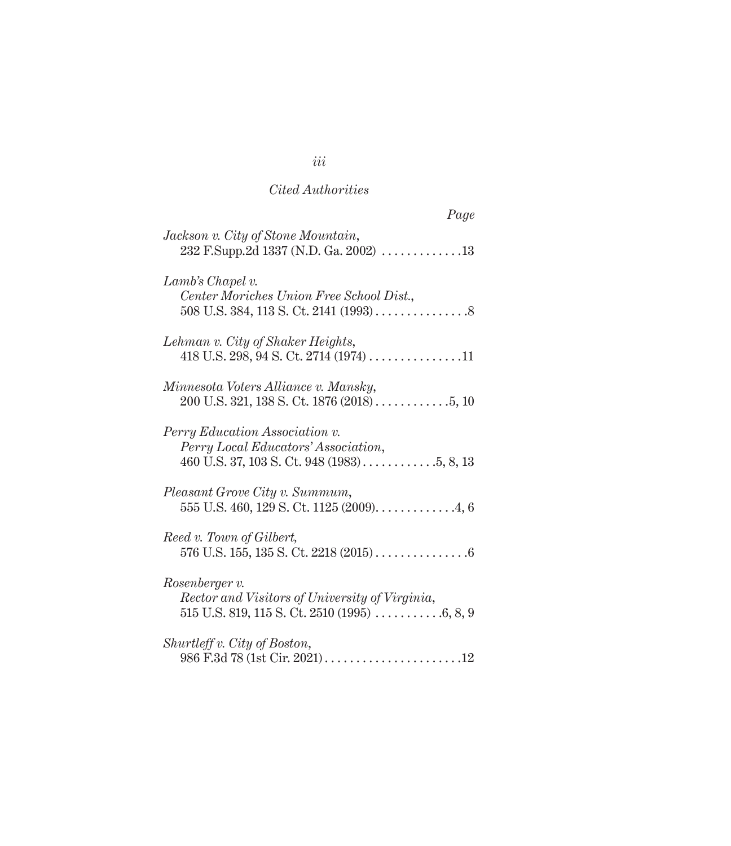### *Cited Authorities*

| Page                                                                                 |
|--------------------------------------------------------------------------------------|
| Jackson v. City of Stone Mountain,<br>232 F.Supp.2d 1337 (N.D. Ga. 2002) 13          |
| Lamb's Chapel v.<br>Center Moriches Union Free School Dist.,                         |
| Lehman v. City of Shaker Heights,<br>418 U.S. 298, 94 S. Ct. 2714 (1974) 11          |
| Minnesota Voters Alliance v. Mansky,<br>$200$ U.S. 321, 138 S. Ct. 1876 (2018) 5, 10 |
| Perry Education Association v.<br>Perry Local Educators' Association,                |
| Pleasant Grove City v. Summum,<br>$555$ U.S. 460, 129 S. Ct. 1125 (2009). 4, 6       |
| Reed v. Town of Gilbert,                                                             |
| Rosenberger v.<br>Rector and Visitors of University of Virginia,                     |
| Shurtleff v. City of Boston,                                                         |

## *iii*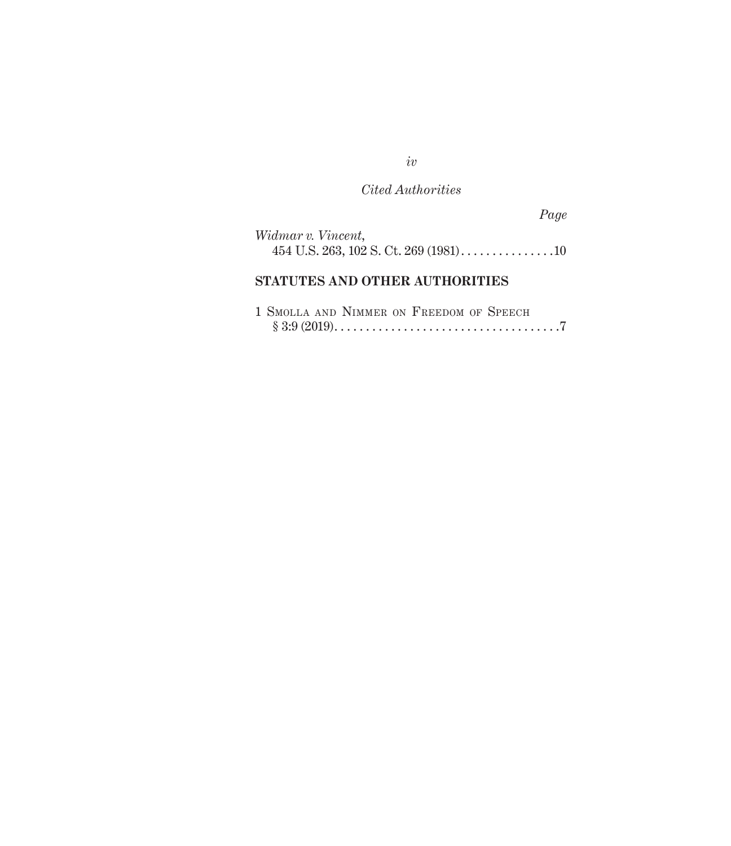*iv*

## *Cited Authorities*

*Page*

| Widmar v. Vincent, |  |  |  |  |  |
|--------------------|--|--|--|--|--|
|                    |  |  |  |  |  |

### **Statutes and Other Authorities**

|  | 1 SMOLLA AND NIMMER ON FREEDOM OF SPEECH |  |  |  |  |  |
|--|------------------------------------------|--|--|--|--|--|
|  |                                          |  |  |  |  |  |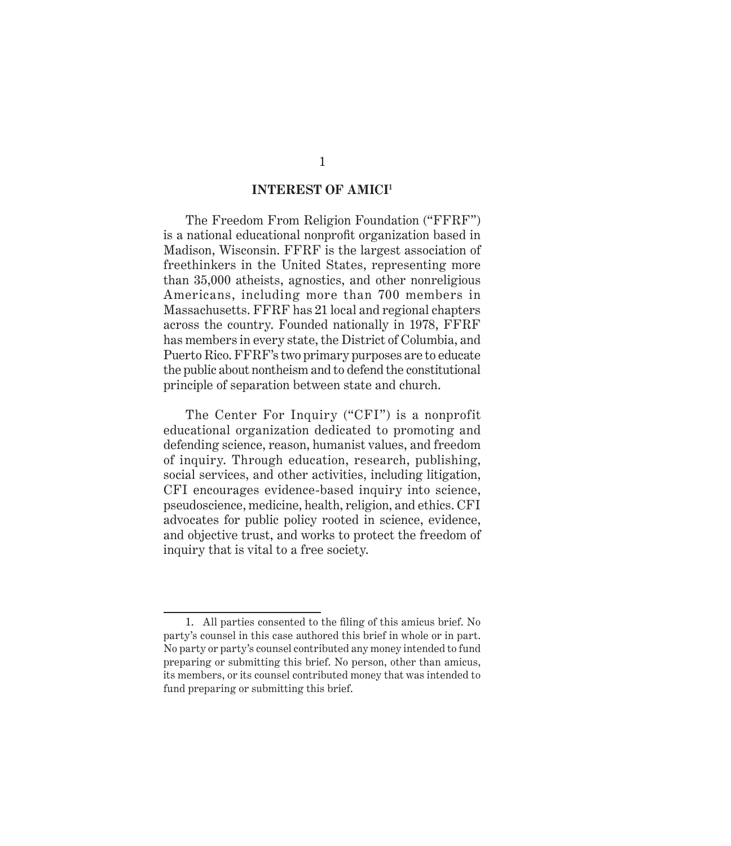#### **INTEREST OF AMICI1**

The Freedom From Religion Foundation ("FFRF") is a national educational nonprofit organization based in Madison, Wisconsin. FFRF is the largest association of freethinkers in the United States, representing more than 35,000 atheists, agnostics, and other nonreligious Americans, including more than 700 members in Massachusetts. FFRF has 21 local and regional chapters across the country. Founded nationally in 1978, FFRF has members in every state, the District of Columbia, and Puerto Rico. FFRF's two primary purposes are to educate the public about nontheism and to defend the constitutional principle of separation between state and church.

The Center For Inquiry ("CFI") is a nonprofit educational organization dedicated to promoting and defending science, reason, humanist values, and freedom of inquiry. Through education, research, publishing, social services, and other activities, including litigation, CFI encourages evidence-based inquiry into science, pseudoscience, medicine, health, religion, and ethics. CFI advocates for public policy rooted in science, evidence, and objective trust, and works to protect the freedom of inquiry that is vital to a free society.

<sup>1.</sup> All parties consented to the filing of this amicus brief. No party's counsel in this case authored this brief in whole or in part. No party or party's counsel contributed any money intended to fund preparing or submitting this brief. No person, other than amicus, its members, or its counsel contributed money that was intended to fund preparing or submitting this brief.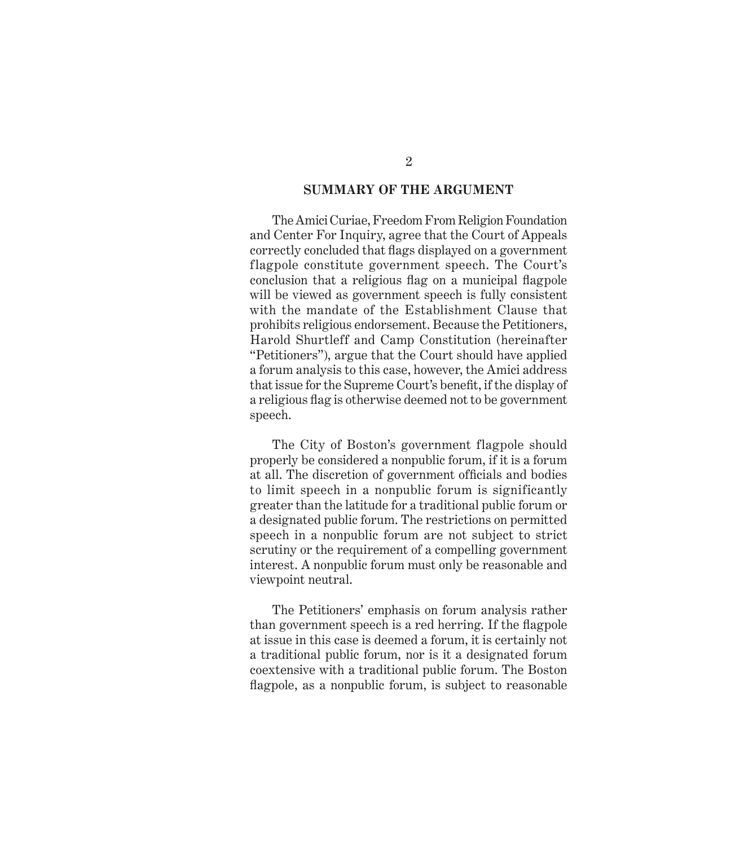#### **SUMMARY OF THE ARGUMENT**

The Amici Curiae, Freedom From Religion Foundation and Center For Inquiry, agree that the Court of Appeals correctly concluded that flags displayed on a government flagpole constitute government speech. The Court's conclusion that a religious flag on a municipal flagpole will be viewed as government speech is fully consistent with the mandate of the Establishment Clause that prohibits religious endorsement. Because the Petitioners, Harold Shurtleff and Camp Constitution (hereinafter "Petitioners"), argue that the Court should have applied a forum analysis to this case, however, the Amici address that issue for the Supreme Court's benefit, if the display of a religious flag is otherwise deemed not to be government speech.

The City of Boston's government flagpole should properly be considered a nonpublic forum, if it is a forum at all. The discretion of government officials and bodies to limit speech in a nonpublic forum is significantly greater than the latitude for a traditional public forum or a designated public forum. The restrictions on permitted speech in a nonpublic forum are not subject to strict scrutiny or the requirement of a compelling government interest. A nonpublic forum must only be reasonable and viewpoint neutral.

The Petitioners' emphasis on forum analysis rather than government speech is a red herring. If the flagpole at issue in this case is deemed a forum, it is certainly not a traditional public forum, nor is it a designated forum coextensive with a traditional public forum. The Boston flagpole, as a nonpublic forum, is subject to reasonable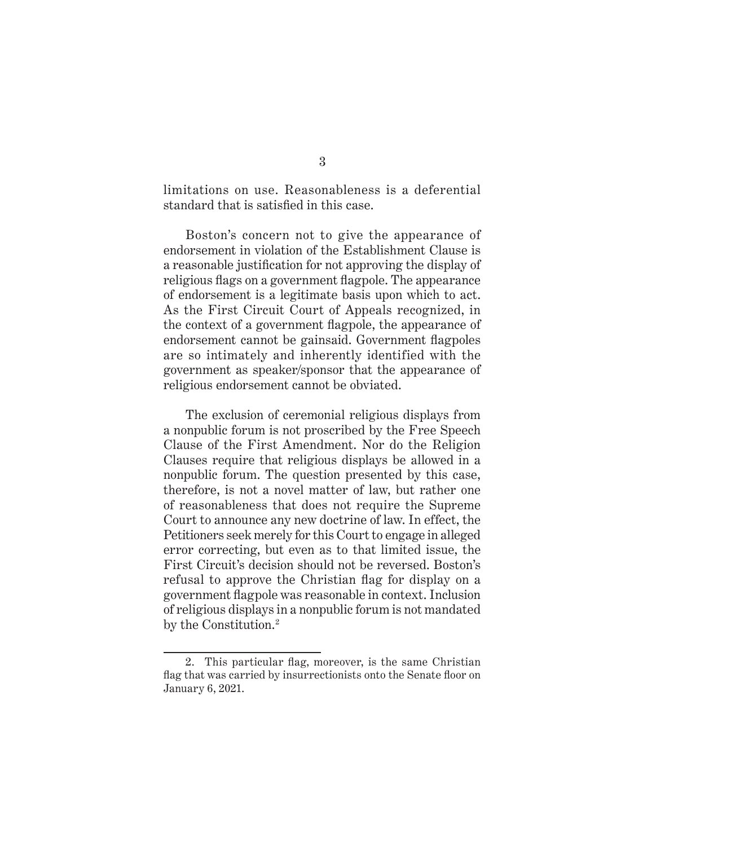limitations on use. Reasonableness is a deferential standard that is satisfied in this case.

Boston's concern not to give the appearance of endorsement in violation of the Establishment Clause is a reasonable justification for not approving the display of religious flags on a government flagpole. The appearance of endorsement is a legitimate basis upon which to act. As the First Circuit Court of Appeals recognized, in the context of a government flagpole, the appearance of endorsement cannot be gainsaid. Government flagpoles are so intimately and inherently identified with the government as speaker/sponsor that the appearance of religious endorsement cannot be obviated.

The exclusion of ceremonial religious displays from a nonpublic forum is not proscribed by the Free Speech Clause of the First Amendment. Nor do the Religion Clauses require that religious displays be allowed in a nonpublic forum. The question presented by this case, therefore, is not a novel matter of law, but rather one of reasonableness that does not require the Supreme Court to announce any new doctrine of law. In effect, the Petitioners seek merely for this Court to engage in alleged error correcting, but even as to that limited issue, the First Circuit's decision should not be reversed. Boston's refusal to approve the Christian flag for display on a government flagpole was reasonable in context. Inclusion of religious displays in a nonpublic forum is not mandated by the Constitution.<sup>2</sup>

<sup>2.</sup> This particular flag, moreover, is the same Christian flag that was carried by insurrectionists onto the Senate floor on January 6, 2021.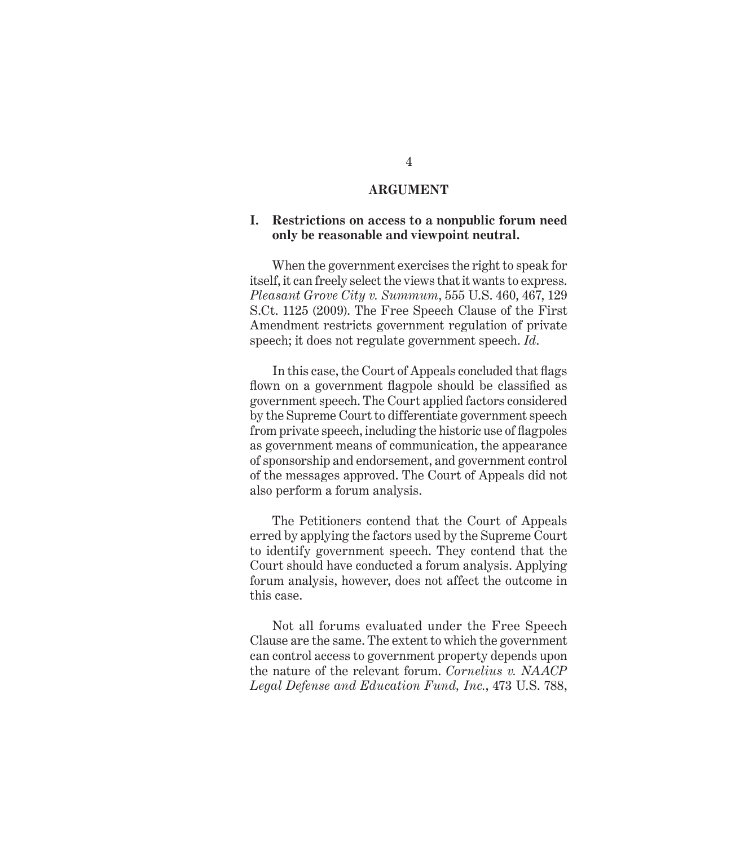#### **ARGUMENT**

#### **I. Restrictions on access to a nonpublic forum need only be reasonable and viewpoint neutral.**

When the government exercises the right to speak for itself, it can freely select the views that it wants to express. *Pleasant Grove City v. Summum*, 555 U.S. 460, 467, 129 S.Ct. 1125 (2009). The Free Speech Clause of the First Amendment restricts government regulation of private speech; it does not regulate government speech. *Id*.

In this case, the Court of Appeals concluded that flags flown on a government flagpole should be classified as government speech. The Court applied factors considered by the Supreme Court to differentiate government speech from private speech, including the historic use of flagpoles as government means of communication, the appearance of sponsorship and endorsement, and government control of the messages approved. The Court of Appeals did not also perform a forum analysis.

The Petitioners contend that the Court of Appeals erred by applying the factors used by the Supreme Court to identify government speech. They contend that the Court should have conducted a forum analysis. Applying forum analysis, however, does not affect the outcome in this case.

Not all forums evaluated under the Free Speech Clause are the same. The extent to which the government can control access to government property depends upon the nature of the relevant forum. *Cornelius v. NAACP Legal Defense and Education Fund, Inc.*, 473 U.S. 788,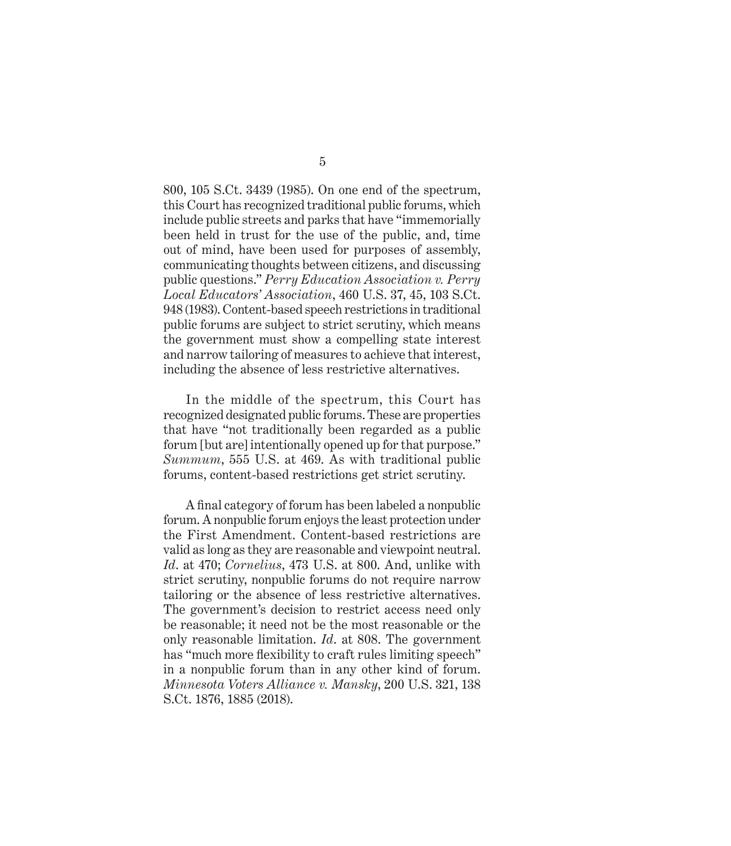800, 105 S.Ct. 3439 (1985). On one end of the spectrum, this Court has recognized traditional public forums, which include public streets and parks that have "immemorially been held in trust for the use of the public, and, time out of mind, have been used for purposes of assembly, communicating thoughts between citizens, and discussing public questions." *Perry Education Association v. Perry Local Educators' Association*, 460 U.S. 37, 45, 103 S.Ct. 948 (1983). Content-based speech restrictions in traditional public forums are subject to strict scrutiny, which means the government must show a compelling state interest and narrow tailoring of measures to achieve that interest, including the absence of less restrictive alternatives.

In the middle of the spectrum, this Court has recognized designated public forums. These are properties that have "not traditionally been regarded as a public forum [but are] intentionally opened up for that purpose." *Summum*, 555 U.S. at 469. As with traditional public forums, content-based restrictions get strict scrutiny.

A final category of forum has been labeled a nonpublic forum. A nonpublic forum enjoys the least protection under the First Amendment. Content-based restrictions are valid as long as they are reasonable and viewpoint neutral. *Id*. at 470; *Cornelius*, 473 U.S. at 800. And, unlike with strict scrutiny, nonpublic forums do not require narrow tailoring or the absence of less restrictive alternatives. The government's decision to restrict access need only be reasonable; it need not be the most reasonable or the only reasonable limitation. *Id*. at 808. The government has "much more flexibility to craft rules limiting speech" in a nonpublic forum than in any other kind of forum. *Minnesota Voters Alliance v. Mansky*, 200 U.S. 321, 138 S.Ct. 1876, 1885 (2018).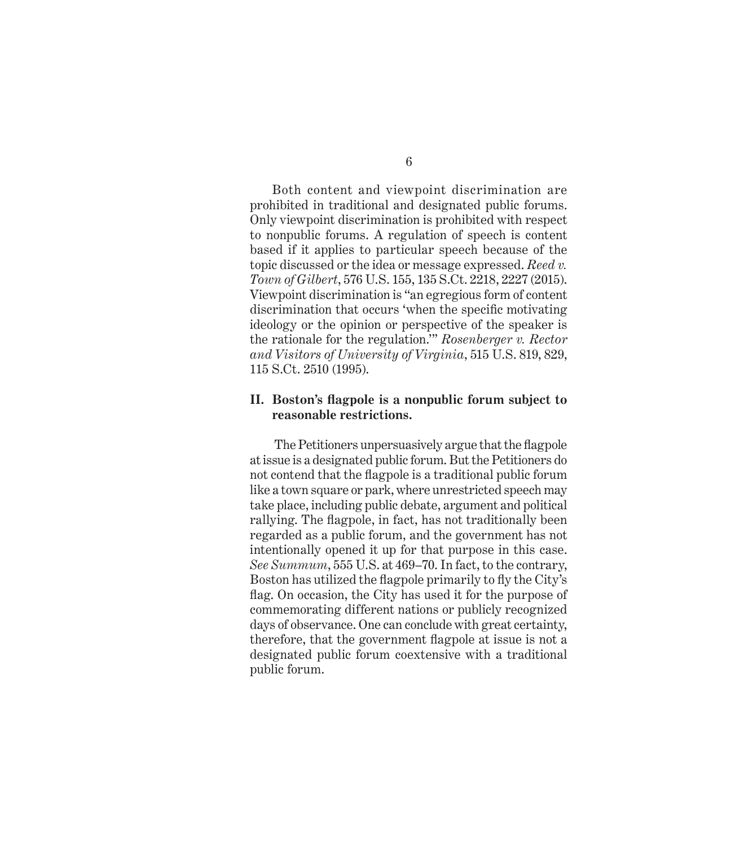Both content and viewpoint discrimination are prohibited in traditional and designated public forums. Only viewpoint discrimination is prohibited with respect to nonpublic forums. A regulation of speech is content based if it applies to particular speech because of the topic discussed or the idea or message expressed. *Reed v. Town of Gilbert*, 576 U.S. 155, 135 S.Ct. 2218, 2227 (2015). Viewpoint discrimination is "an egregious form of content discrimination that occurs 'when the specific motivating ideology or the opinion or perspective of the speaker is the rationale for the regulation.'" *Rosenberger v. Rector and Visitors of University of Virginia*, 515 U.S. 819, 829, 115 S.Ct. 2510 (1995).

#### **II. Boston's flagpole is a nonpublic forum subject to reasonable restrictions.**

 The Petitioners unpersuasively argue that the flagpole at issue is a designated public forum. But the Petitioners do not contend that the flagpole is a traditional public forum like a town square or park, where unrestricted speech may take place, including public debate, argument and political rallying. The flagpole, in fact, has not traditionally been regarded as a public forum, and the government has not intentionally opened it up for that purpose in this case. *See Summum*, 555 U.S. at 469–70. In fact, to the contrary, Boston has utilized the flagpole primarily to fly the City's flag. On occasion, the City has used it for the purpose of commemorating different nations or publicly recognized days of observance. One can conclude with great certainty, therefore, that the government flagpole at issue is not a designated public forum coextensive with a traditional public forum.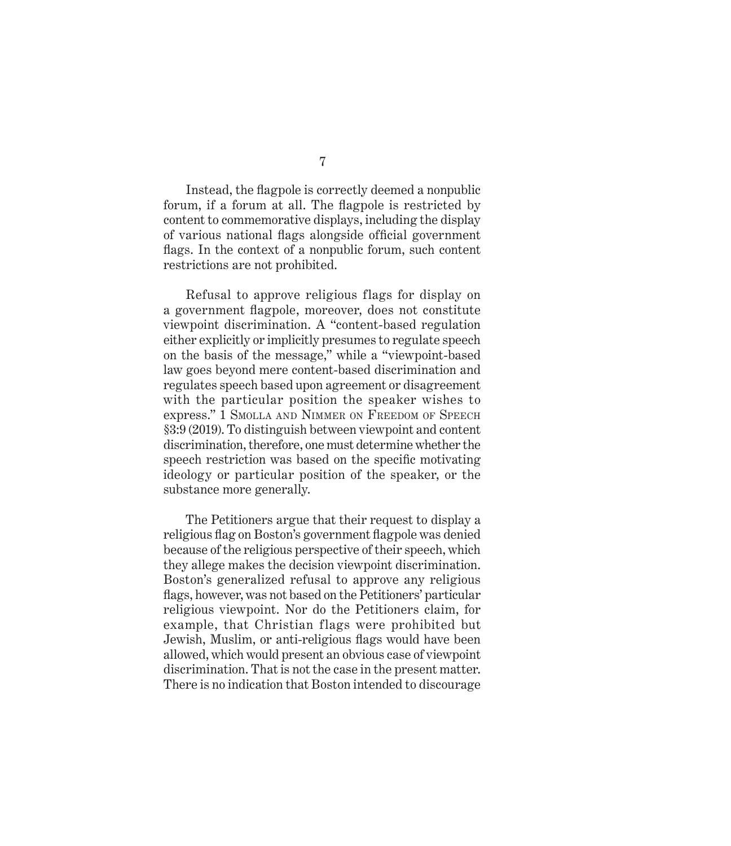Instead, the flagpole is correctly deemed a nonpublic forum, if a forum at all. The flagpole is restricted by content to commemorative displays, including the display of various national flags alongside official government flags. In the context of a nonpublic forum, such content restrictions are not prohibited.

Refusal to approve religious flags for display on a government flagpole, moreover, does not constitute viewpoint discrimination. A "content-based regulation either explicitly or implicitly presumes to regulate speech on the basis of the message," while a "viewpoint-based law goes beyond mere content-based discrimination and regulates speech based upon agreement or disagreement with the particular position the speaker wishes to express." 1 Smolla and Nimmer on Freedom of Speech §3:9 (2019). To distinguish between viewpoint and content discrimination, therefore, one must determine whether the speech restriction was based on the specific motivating ideology or particular position of the speaker, or the substance more generally.

The Petitioners argue that their request to display a religious flag on Boston's government flagpole was denied because of the religious perspective of their speech, which they allege makes the decision viewpoint discrimination. Boston's generalized refusal to approve any religious flags, however, was not based on the Petitioners' particular religious viewpoint. Nor do the Petitioners claim, for example, that Christian flags were prohibited but Jewish, Muslim, or anti-religious flags would have been allowed, which would present an obvious case of viewpoint discrimination. That is not the case in the present matter. There is no indication that Boston intended to discourage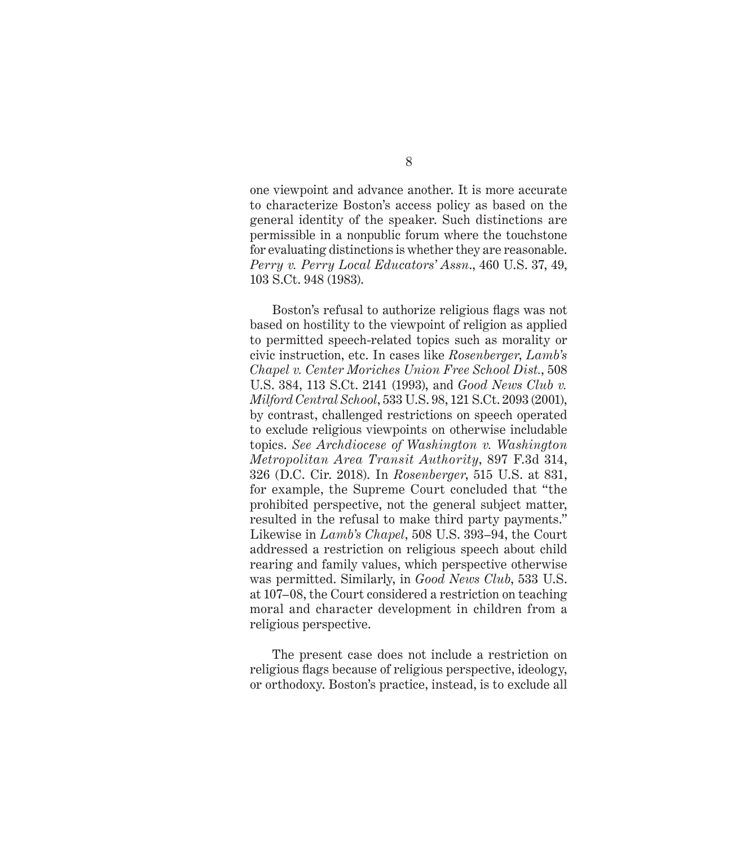one viewpoint and advance another. It is more accurate to characterize Boston's access policy as based on the general identity of the speaker. Such distinctions are permissible in a nonpublic forum where the touchstone for evaluating distinctions is whether they are reasonable. *Perry v. Perry Local Educators' Assn*., 460 U.S. 37, 49, 103 S.Ct. 948 (1983).

Boston's refusal to authorize religious flags was not based on hostility to the viewpoint of religion as applied to permitted speech-related topics such as morality or civic instruction, etc. In cases like *Rosenberger*, *Lamb's Chapel v. Center Moriches Union Free School Dist.*, 508 U.S. 384, 113 S.Ct. 2141 (1993), and *Good News Club v. Milford Central School*, 533 U.S. 98, 121 S.Ct. 2093 (2001), by contrast, challenged restrictions on speech operated to exclude religious viewpoints on otherwise includable topics. *See Archdiocese of Washington v. Washington Metropolitan Area Transit Authority*, 897 F.3d 314, 326 (D.C. Cir. 2018). In *Rosenberger*, 515 U.S. at 831, for example, the Supreme Court concluded that "the prohibited perspective, not the general subject matter, resulted in the refusal to make third party payments." Likewise in *Lamb's Chapel*, 508 U.S. 393–94, the Court addressed a restriction on religious speech about child rearing and family values, which perspective otherwise was permitted. Similarly, in *Good News Club*, 533 U.S. at 107–08, the Court considered a restriction on teaching moral and character development in children from a religious perspective.

The present case does not include a restriction on religious flags because of religious perspective, ideology, or orthodoxy. Boston's practice, instead, is to exclude all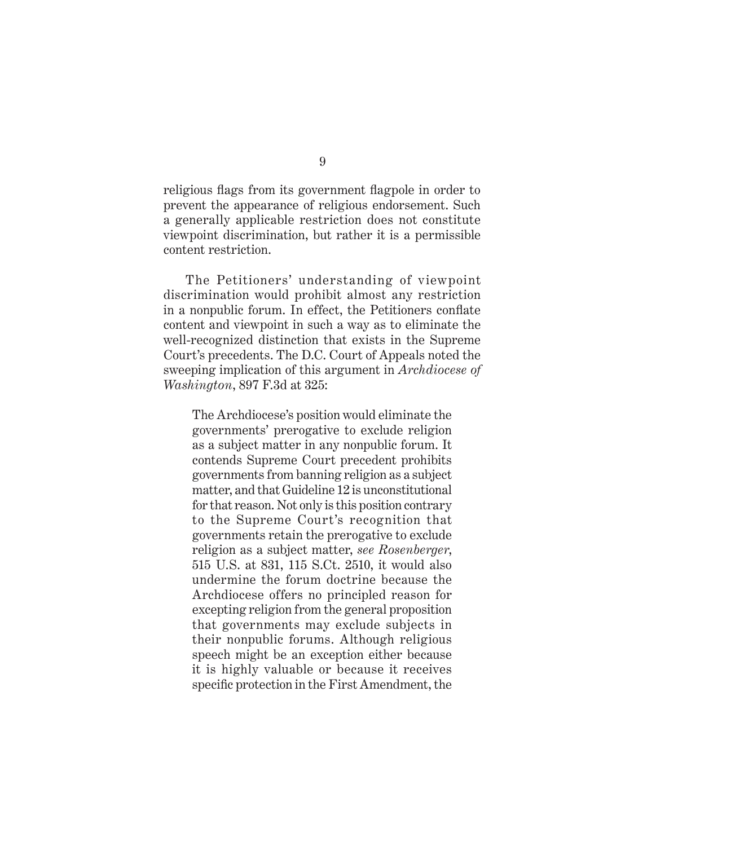religious flags from its government flagpole in order to prevent the appearance of religious endorsement. Such a generally applicable restriction does not constitute viewpoint discrimination, but rather it is a permissible content restriction.

The Petitioners' understanding of viewpoint discrimination would prohibit almost any restriction in a nonpublic forum. In effect, the Petitioners conflate content and viewpoint in such a way as to eliminate the well-recognized distinction that exists in the Supreme Court's precedents. The D.C. Court of Appeals noted the sweeping implication of this argument in *Archdiocese of Washington*, 897 F.3d at 325:

The Archdiocese's position would eliminate the governments' prerogative to exclude religion as a subject matter in any nonpublic forum. It contends Supreme Court precedent prohibits governments from banning religion as a subject matter, and that Guideline 12 is unconstitutional for that reason. Not only is this position contrary to the Supreme Court's recognition that governments retain the prerogative to exclude religion as a subject matter, *see Rosenberger*, 515 U.S. at 831, 115 S.Ct. 2510, it would also undermine the forum doctrine because the Archdiocese offers no principled reason for excepting religion from the general proposition that governments may exclude subjects in their nonpublic forums. Although religious speech might be an exception either because it is highly valuable or because it receives specific protection in the First Amendment, the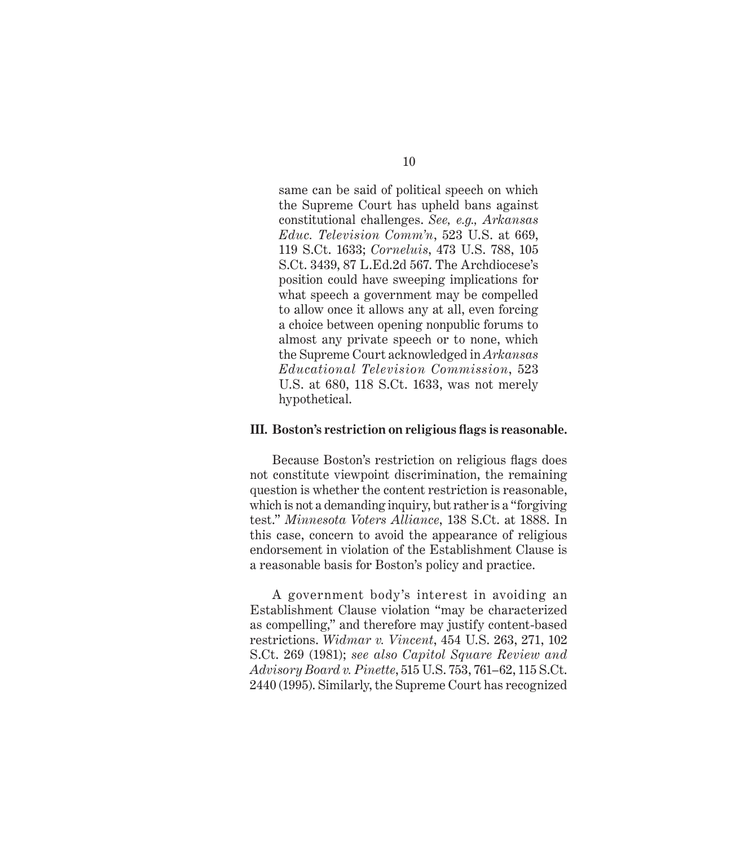same can be said of political speech on which the Supreme Court has upheld bans against constitutional challenges. *See, e.g., Arkansas Educ. Television Comm'n*, 523 U.S. at 669, 119 S.Ct. 1633; *Corneluis*, 473 U.S. 788, 105 S.Ct. 3439, 87 L.Ed.2d 567. The Archdiocese's position could have sweeping implications for what speech a government may be compelled to allow once it allows any at all, even forcing a choice between opening nonpublic forums to almost any private speech or to none, which the Supreme Court acknowledged in *Arkansas Educational Television Commission*, 523 U.S. at 680, 118 S.Ct. 1633, was not merely hypothetical.

#### **III. Boston's restriction on religious flags is reasonable.**

Because Boston's restriction on religious flags does not constitute viewpoint discrimination, the remaining question is whether the content restriction is reasonable, which is not a demanding inquiry, but rather is a "forgiving test." *Minnesota Voters Alliance*, 138 S.Ct. at 1888. In this case, concern to avoid the appearance of religious endorsement in violation of the Establishment Clause is a reasonable basis for Boston's policy and practice.

A government body's interest in avoiding an Establishment Clause violation "may be characterized as compelling," and therefore may justify content-based restrictions. *Widmar v. Vincent*, 454 U.S. 263, 271, 102 S.Ct. 269 (1981); *see also Capitol Square Review and Advisory Board v. Pinette*, 515 U.S. 753, 761–62, 115 S.Ct. 2440 (1995). Similarly, the Supreme Court has recognized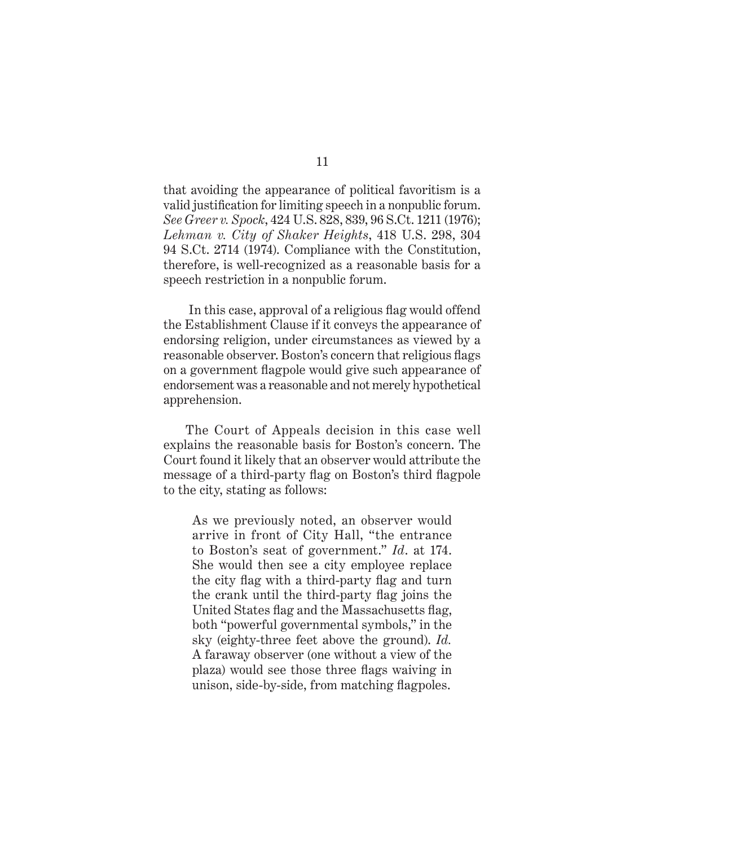that avoiding the appearance of political favoritism is a valid justification for limiting speech in a nonpublic forum. *See Greer v. Spock*, 424 U.S. 828, 839, 96 S.Ct. 1211 (1976); *Lehman v. City of Shaker Heights*, 418 U.S. 298, 304 94 S.Ct. 2714 (1974). Compliance with the Constitution, therefore, is well-recognized as a reasonable basis for a speech restriction in a nonpublic forum.

 In this case, approval of a religious flag would offend the Establishment Clause if it conveys the appearance of endorsing religion, under circumstances as viewed by a reasonable observer. Boston's concern that religious flags on a government flagpole would give such appearance of endorsement was a reasonable and not merely hypothetical apprehension.

The Court of Appeals decision in this case well explains the reasonable basis for Boston's concern. The Court found it likely that an observer would attribute the message of a third-party flag on Boston's third flagpole to the city, stating as follows:

As we previously noted, an observer would arrive in front of City Hall, "the entrance to Boston's seat of government." *Id*. at 174. She would then see a city employee replace the city flag with a third-party flag and turn the crank until the third-party flag joins the United States flag and the Massachusetts flag, both "powerful governmental symbols," in the sky (eighty-three feet above the ground). *Id.* A faraway observer (one without a view of the plaza) would see those three flags waiving in unison, side-by-side, from matching flagpoles.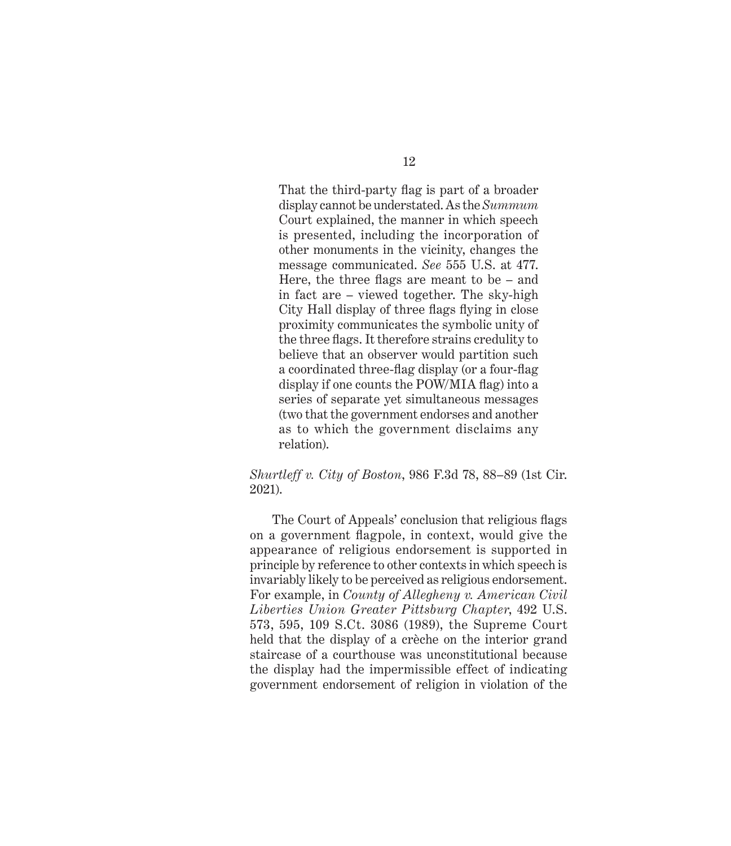That the third-party flag is part of a broader display cannot be understated. As the *Summum* Court explained, the manner in which speech is presented, including the incorporation of other monuments in the vicinity, changes the message communicated. *See* 555 U.S. at 477. Here, the three flags are meant to be – and in fact are – viewed together. The sky-high City Hall display of three flags flying in close proximity communicates the symbolic unity of the three flags. It therefore strains credulity to believe that an observer would partition such a coordinated three-flag display (or a four-flag display if one counts the POW/MIA flag) into a series of separate yet simultaneous messages (two that the government endorses and another as to which the government disclaims any relation).

#### *Shurtleff v. City of Boston*, 986 F.3d 78, 88–89 (1st Cir. 2021).

The Court of Appeals' conclusion that religious flags on a government flagpole, in context, would give the appearance of religious endorsement is supported in principle by reference to other contexts in which speech is invariably likely to be perceived as religious endorsement. For example, in *County of Allegheny v. American Civil Liberties Union Greater Pittsburg Chapter*, 492 U.S. 573, 595, 109 S.Ct. 3086 (1989), the Supreme Court held that the display of a crèche on the interior grand staircase of a courthouse was unconstitutional because the display had the impermissible effect of indicating government endorsement of religion in violation of the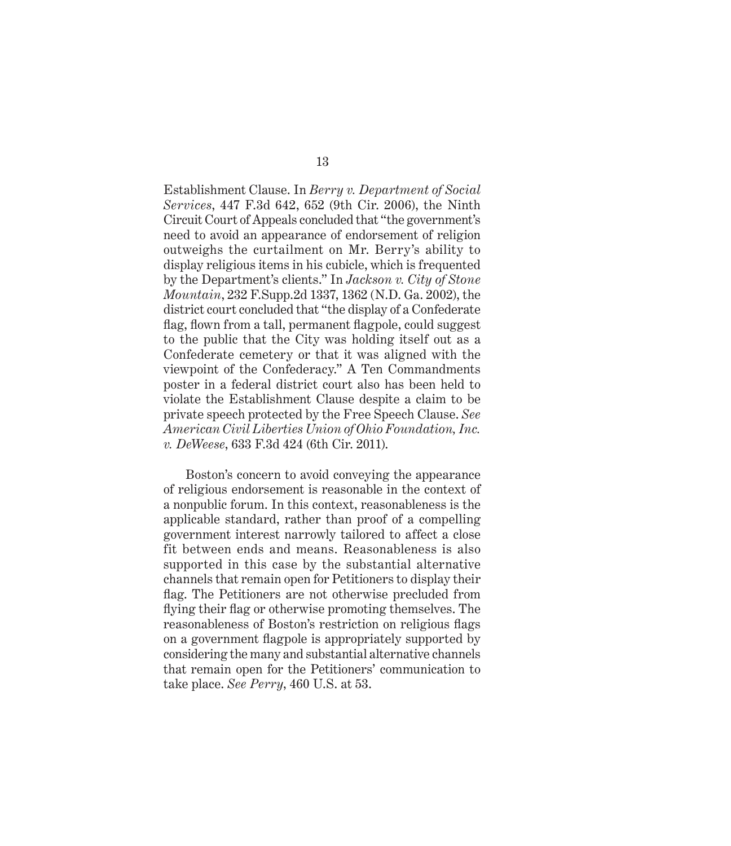Establishment Clause. In *Berry v. Department of Social Services*, 447 F.3d 642, 652 (9th Cir. 2006), the Ninth Circuit Court of Appeals concluded that "the government's need to avoid an appearance of endorsement of religion outweighs the curtailment on Mr. Berry's ability to display religious items in his cubicle, which is frequented by the Department's clients." In *Jackson v. City of Stone Mountain*, 232 F.Supp.2d 1337, 1362 (N.D. Ga. 2002), the district court concluded that "the display of a Confederate flag, flown from a tall, permanent flagpole, could suggest to the public that the City was holding itself out as a Confederate cemetery or that it was aligned with the viewpoint of the Confederacy." A Ten Commandments poster in a federal district court also has been held to violate the Establishment Clause despite a claim to be private speech protected by the Free Speech Clause. *See American Civil Liberties Union of Ohio Foundation, Inc. v. DeWeese*, 633 F.3d 424 (6th Cir. 2011).

Boston's concern to avoid conveying the appearance of religious endorsement is reasonable in the context of a nonpublic forum. In this context, reasonableness is the applicable standard, rather than proof of a compelling government interest narrowly tailored to affect a close fit between ends and means. Reasonableness is also supported in this case by the substantial alternative channels that remain open for Petitioners to display their flag. The Petitioners are not otherwise precluded from flying their flag or otherwise promoting themselves. The reasonableness of Boston's restriction on religious flags on a government flagpole is appropriately supported by considering the many and substantial alternative channels that remain open for the Petitioners' communication to take place. *See Perry*, 460 U.S. at 53.